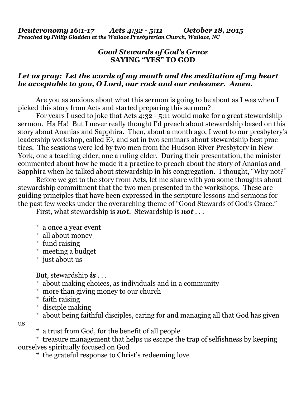## *Good Stewards of God's Grace*  **SAYING "YES" TO GOD**

## *Let us pray: Let the words of my mouth and the meditation of my heart be acceptable to you, O Lord, our rock and our redeemer. Amen.*

Are you as anxious about what this sermon is going to be about as I was when I picked this story from Acts and started preparing this sermon?

 For years I used to joke that Acts 4:32 - 5:11 would make for a great stewardship sermon. Ha Ha! But I never really thought I'd preach about stewardship based on this story about Ananias and Sapphira. Then, about a month ago, I went to our presbytery's leadership workshop, called E3, and sat in two seminars about stewardship best practices. The sessions were led by two men from the Hudson River Presbytery in New York, one a teaching elder, one a ruling elder. During their presentation, the minister commented about how he made it a practice to preach about the story of Ananias and Sapphira when he talked about stewardship in his congregation. I thought, "Why not?"

 Before we get to the story from Acts, let me share with you some thoughts about stewardship commitment that the two men presented in the workshops. These are guiding principles that have been expressed in the scripture lessons and sermons for the past few weeks under the overarching theme of "Good Stewards of God's Grace."

First, what stewardship is *not*. Stewardship is *not* . . .

- \* a once a year event
- \* all about money
- \* fund raising
- \* meeting a budget
- \* just about us

But, stewardship *is* . . .

- \* about making choices, as individuals and in a community
- \* more than giving money to our church
- \* faith raising
- \* disciple making
- \* about being faithful disciples, caring for and managing all that God has given

us

\* a trust from God, for the benefit of all people

 \* treasure management that helps us escape the trap of selfishness by keeping ourselves spiritually focused on God

\* the grateful response to Christ's redeeming love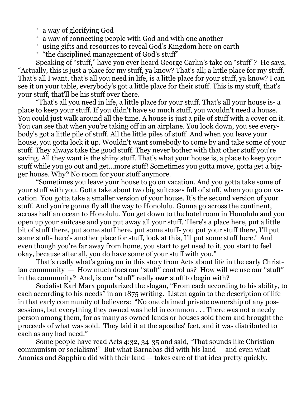- \* a way of glorifying God
- \* a way of connecting people with God and with one another
- \* using gifts and resources to reveal God's Kingdom here on earth
- \* "the disciplined management of God's stuff"

 Speaking of "stuff," have you ever heard George Carlin's take on "stuff"? He says, "Actually, this is just a place for my stuff, ya know? That's all; a little place for my stuff. That's all I want, that's all you need in life, is a little place for your stuff, ya know? I can see it on your table, everybody's got a little place for their stuff. This is my stuff, that's your stuff, that'll be his stuff over there.

 "That's all you need in life, a little place for your stuff. That's all your house is- a place to keep your stuff. If you didn't have so much stuff, you wouldn't need a house. You could just walk around all the time. A house is just a pile of stuff with a cover on it. You can see that when you're taking off in an airplane. You look down, you see everybody's got a little pile of stuff. All the little piles of stuff. And when you leave your house, you gotta lock it up. Wouldn't want somebody to come by and take some of your stuff. They always take the good stuff. They never bother with that other stuff you're saving. All they want is the shiny stuff. That's what your house is, a place to keep your stuff while you go out and get...more stuff! Sometimes you gotta move, gotta get a bigger house. Why? No room for your stuff anymore.

 "Sometimes you leave your house to go on vacation. And you gotta take some of your stuff with you. Gotta take about two big suitcases full of stuff, when you go on vacation. You gotta take a smaller version of your house. It's the second version of your stuff. And you're gonna fly all the way to Honolulu. Gonna go across the continent, across half an ocean to Honolulu. You get down to the hotel room in Honolulu and you open up your suitcase and you put away all your stuff. 'Here's a place here, put a little bit of stuff there, put some stuff here, put some stuff- you put your stuff there, I'll put some stuff- here's another place for stuff, look at this, I'll put some stuff here.' And even though you're far away from home, you start to get used to it, you start to feel okay, because after all, you do have some of your stuff with you."

 That's really what's going on in this story from Acts about life in the early Christian community  $-$  How much does our "stuff" control us? How will we use our "stuff" in the community? And, is our "stuff" really *our* stuff to begin with?

 Socialist Karl Marx popularized the slogan, "From each according to his ability, to each according to his needs" in an 1875 writing. Listen again to the description of life in that early community of believers: "No one claimed private ownership of any possessions, but everything they owned was held in common . . . There was not a needy person among them, for as many as owned lands or houses sold them and brought the proceeds of what was sold. They laid it at the apostles' feet, and it was distributed to each as any had need."

 Some people have read Acts 4:32, 34-35 and said, "That sounds like Christian communism or socialism!" But what Barnabas did with his land — and even what Ananias and Sapphira did with their land — takes care of that idea pretty quickly.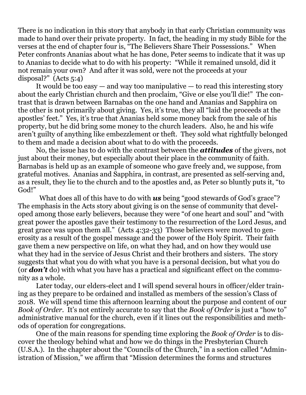There is no indication in this story that anybody in that early Christian community was made to hand over their private property. In fact, the heading in my study Bible for the verses at the end of chapter four is, "The Believers Share Their Possessions." When Peter confronts Ananias about what he has done, Peter seems to indicate that it was up to Ananias to decide what to do with his property: "While it remained unsold, did it not remain your own? And after it was sold, were not the proceeds at your disposal?" (Acts 5:4)

It would be too easy  $-$  and way too manipulative  $-$  to read this interesting story about the early Christian church and then proclaim, "Give or else you'll die!" The contrast that is drawn between Barnabas on the one hand and Ananias and Sapphira on the other is not primarily about giving. Yes, it's true, they all "laid the proceeds at the apostles' feet." Yes, it's true that Ananias held some money back from the sale of his property, but he did bring some money to the church leaders. Also, he and his wife aren't guilty of anything like embezzlement or theft. They sold what rightfully belonged to them and made a decision about what to do with the proceeds.

 No, the issue has to do with the contrast between the *attitudes* of the givers, not just about their money, but especially about their place in the community of faith. Barnabas is held up as an example of someone who gave freely and, we suppose, from grateful motives. Ananias and Sapphira, in contrast, are presented as self-serving and, as a result, they lie to the church and to the apostles and, as Peter so bluntly puts it, "to God!"

What does all of this have to do with **us** being "good stewards of God's grace"? The emphasis in the Acts story about giving is on the sense of community that developed among those early believers, because they were "of one heart and soul" and "with great power the apostles gave their testimony to the resurrection of the Lord Jesus, and great grace was upon them all." (Acts 4:32-33) Those believers were moved to generosity as a result of the gospel message and the power of the Holy Spirit. Their faith gave them a new perspective on life, on what they had, and on how they would use what they had in the service of Jesus Christ and their brothers and sisters. The story suggests that what you do with what you have is a personal decision, but what you do (or *don't* do) with what you have has a practical and significant effect on the community as a whole.

 Later today, our elders-elect and I will spend several hours in officer/elder training as they prepare to be ordained and installed as members of the session's Class of 2018. We will spend time this afternoon learning about the purpose and content of our *Book of Order*. It's not entirely accurate to say that the *Book of Order* is just a "how to" administrative manual for the church, even if it lines out the responsibilities and methods of operation for congregations.

 One of the main reasons for spending time exploring the *Book of Order* is to discover the theology behind what and how we do things in the Presbyterian Church (U.S.A.). In the chapter about the "Councils of the Church," in a section called "Administration of Mission," we affirm that "Mission determines the forms and structures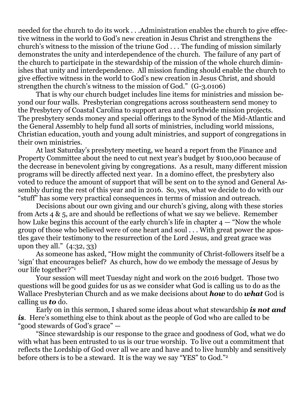needed for the church to do its work . . .Administration enables the church to give effective witness in the world to God's new creation in Jesus Christ and strengthens the church's witness to the mission of the triune God . . . The funding of mission similarly demonstrates the unity and interdependence of the church. The failure of any part of the church to participate in the stewardship of the mission of the whole church diminishes that unity and interdependence. All mission funding should enable the church to give effective witness in the world to God's new creation in Jesus Christ, and should strengthen the church's witness to the mission of God." (G-3.0106)

 That is why our church budget includes line items for ministries and mission beyond our four walls. Presbyterian congregations across southeastern send money to the Presbytery of Coastal Carolina to support area and worldwide mission projects. The presbytery sends money and special offerings to the Synod of the Mid-Atlantic and the General Assembly to help fund all sorts of ministries, including world missions, Christian education, youth and young adult ministries, and support of congregations in their own ministries.

 At last Saturday's presbytery meeting, we heard a report from the Finance and Property Committee about the need to cut next year's budget by \$100,000 because of the decrease in benevolent giving by congregations. As a result, many different mission programs will be directly affected next year. In a domino effect, the presbytery also voted to reduce the amount of support that will be sent on to the synod and General Assembly during the rest of this year and in 2016. So, yes, what we decide to do with our "stuff" has some very practical consequences in terms of mission and outreach.

 Decisions about our own giving and our church's giving, along with these stories from Acts 4 & 5, are and should be reflections of what we say we believe. Remember how Luke begins this account of the early church's life in chapter  $4 -$  "Now the whole group of those who believed were of one heart and soul . . . With great power the apostles gave their testimony to the resurrection of the Lord Jesus, and great grace was upon they all." (4:32, 33)

 As someone has asked, "How might the community of Christ-followers itself be a 'sign' that encourages belief? As church, how do we embody the message of Jesus by our life together?"1

 Your session will meet Tuesday night and work on the 2016 budget. Those two questions will be good guides for us as we consider what God is calling us to do as the Wallace Presbyterian Church and as we make decisions about *how* to do *what* God is calling us *to* do.

 Early on in this sermon, I shared some ideas about what stewardship *is not and is*. Here's something else to think about as the people of God who are called to be "good stewards of God's grace" —

 "Since stewardship is our response to the grace and goodness of God, what we do with what has been entrusted to us is our true worship. To live out a commitment that reflects the Lordship of God over all we are and have and to live humbly and sensitively before others is to be a steward. It is the way we say "YES" to God."2